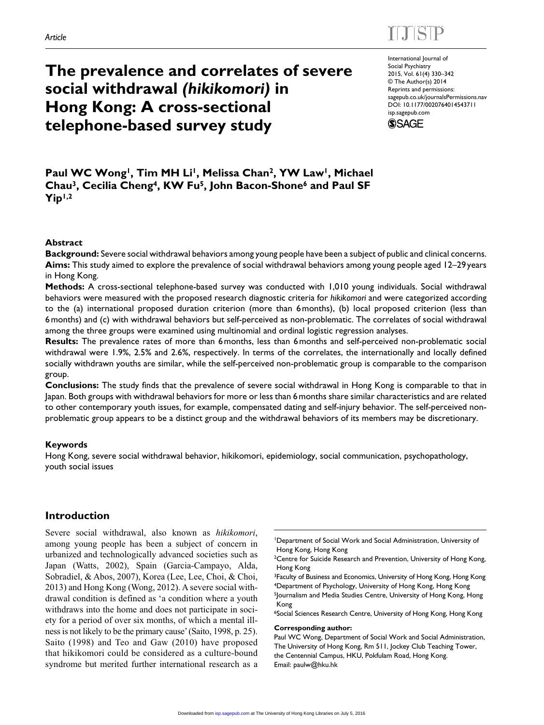# $E = E \times E$

# **The prevalence and correlates of severe social withdrawal** *(hikikomori)* **in Hong Kong: A cross-sectional telephone-based survey study**

International Journal of Social Psychiatry 2015, Vol. 61(4) 330–342 © The Author(s) 2014 Reprints and permissions: sagepub.co.uk/journalsPermissions.nav DOI: 10.1177/0020764014543711 isp.sagepub.com **SSAGE** 

Paul WC Wong<sup>1</sup>, Tim MH Li<sup>1</sup>, Melissa Chan<sup>2</sup>, YW Law<sup>1</sup>, Michael **Chau3, Cecilia Cheng4, KW Fu5, John Bacon-Shone6 and Paul SF Yip1,2**

### **Abstract**

**Background:** Severe social withdrawal behaviors among young people have been a subject of public and clinical concerns. **Aims:** This study aimed to explore the prevalence of social withdrawal behaviors among young people aged 12–29 years in Hong Kong.

**Methods:** A cross-sectional telephone-based survey was conducted with 1,010 young individuals. Social withdrawal behaviors were measured with the proposed research diagnostic criteria for *hikikomori* and were categorized according to the (a) international proposed duration criterion (more than 6months), (b) local proposed criterion (less than 6months) and (c) with withdrawal behaviors but self-perceived as non-problematic. The correlates of social withdrawal among the three groups were examined using multinomial and ordinal logistic regression analyses.

**Results:** The prevalence rates of more than 6months, less than 6months and self-perceived non-problematic social withdrawal were 1.9%, 2.5% and 2.6%, respectively. In terms of the correlates, the internationally and locally defined socially withdrawn youths are similar, while the self-perceived non-problematic group is comparable to the comparison group.

**Conclusions:** The study finds that the prevalence of severe social withdrawal in Hong Kong is comparable to that in Japan. Both groups with withdrawal behaviors for more or less than 6months share similar characteristics and are related to other contemporary youth issues, for example, compensated dating and self-injury behavior. The self-perceived nonproblematic group appears to be a distinct group and the withdrawal behaviors of its members may be discretionary.

#### **Keywords**

Hong Kong, severe social withdrawal behavior, hikikomori, epidemiology, social communication, psychopathology, youth social issues

## **Introduction**

Severe social withdrawal, also known as *hikikomori*, among young people has been a subject of concern in urbanized and technologically advanced societies such as Japan (Watts, 2002), Spain (Garcia-Campayo, Alda, Sobradiel, & Abos, 2007), Korea (Lee, Lee, Choi, & Choi, 2013) and Hong Kong (Wong, 2012). A severe social withdrawal condition is defined as 'a condition where a youth withdraws into the home and does not participate in society for a period of over six months, of which a mental illness is not likely to be the primary cause' (Saito, 1998, p. 25). Saito (1998) and Teo and Gaw (2010) have proposed that hikikomori could be considered as a culture-bound syndrome but merited further international research as a

1Department of Social Work and Social Administration, University of Hong Kong, Hong Kong

<sup>2</sup>Centre for Suicide Research and Prevention, University of Hong Kong, Hong Kong

<sup>3</sup>Faculty of Business and Economics, University of Hong Kong, Hong Kong 4Department of Psychology, University of Hong Kong, Hong Kong 5Journalism and Media Studies Centre, University of Hong Kong, Hong Kong

<sup>6</sup>Social Sciences Research Centre, University of Hong Kong, Hong Kong

#### **Corresponding author:**

Paul WC Wong, Department of Social Work and Social Administration, The University of Hong Kong, Rm 511, Jockey Club Teaching Tower, the Centennial Campus, HKU, Pokfulam Road, Hong Kong. Email: paulw@hku.hk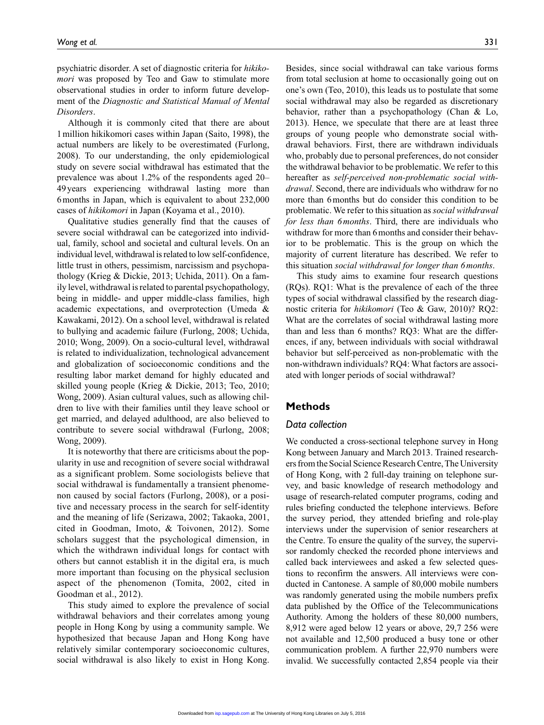psychiatric disorder. A set of diagnostic criteria for *hikikomori* was proposed by Teo and Gaw to stimulate more observational studies in order to inform future development of the *Diagnostic and Statistical Manual of Mental Disorders*.

Although it is commonly cited that there are about 1million hikikomori cases within Japan (Saito, 1998), the actual numbers are likely to be overestimated (Furlong, 2008). To our understanding, the only epidemiological study on severe social withdrawal has estimated that the prevalence was about 1.2% of the respondents aged 20– 49 years experiencing withdrawal lasting more than 6months in Japan, which is equivalent to about 232,000 cases of *hikikomori* in Japan (Koyama et al., 2010).

Qualitative studies generally find that the causes of severe social withdrawal can be categorized into individual, family, school and societal and cultural levels. On an individual level, withdrawal is related to low self-confidence, little trust in others, pessimism, narcissism and psychopathology (Krieg & Dickie, 2013; Uchida, 2011). On a family level, withdrawal is related to parental psychopathology, being in middle- and upper middle-class families, high academic expectations, and overprotection (Umeda & Kawakami, 2012). On a school level, withdrawal is related to bullying and academic failure (Furlong, 2008; Uchida, 2010; Wong, 2009). On a socio-cultural level, withdrawal is related to individualization, technological advancement and globalization of socioeconomic conditions and the resulting labor market demand for highly educated and skilled young people (Krieg & Dickie, 2013; Teo, 2010; Wong, 2009). Asian cultural values, such as allowing children to live with their families until they leave school or get married, and delayed adulthood, are also believed to contribute to severe social withdrawal (Furlong, 2008; Wong, 2009).

It is noteworthy that there are criticisms about the popularity in use and recognition of severe social withdrawal as a significant problem. Some sociologists believe that social withdrawal is fundamentally a transient phenomenon caused by social factors (Furlong, 2008), or a positive and necessary process in the search for self-identity and the meaning of life (Serizawa, 2002; Takaoka, 2001, cited in Goodman, Imoto, & Toivonen, 2012). Some scholars suggest that the psychological dimension, in which the withdrawn individual longs for contact with others but cannot establish it in the digital era, is much more important than focusing on the physical seclusion aspect of the phenomenon (Tomita, 2002, cited in Goodman et al., 2012).

This study aimed to explore the prevalence of social withdrawal behaviors and their correlates among young people in Hong Kong by using a community sample. We hypothesized that because Japan and Hong Kong have relatively similar contemporary socioeconomic cultures, social withdrawal is also likely to exist in Hong Kong.

Besides, since social withdrawal can take various forms from total seclusion at home to occasionally going out on one's own (Teo, 2010), this leads us to postulate that some social withdrawal may also be regarded as discretionary behavior, rather than a psychopathology (Chan & Lo, 2013). Hence, we speculate that there are at least three groups of young people who demonstrate social withdrawal behaviors. First, there are withdrawn individuals who, probably due to personal preferences, do not consider the withdrawal behavior to be problematic. We refer to this hereafter as *self-perceived non-problematic social withdrawal*. Second, there are individuals who withdraw for no more than 6months but do consider this condition to be problematic. We refer to this situation as *social withdrawal for less than 6months*. Third, there are individuals who withdraw for more than 6 months and consider their behavior to be problematic. This is the group on which the majority of current literature has described. We refer to this situation *social withdrawal for longer than 6months*.

This study aims to examine four research questions (RQs). RQ1: What is the prevalence of each of the three types of social withdrawal classified by the research diagnostic criteria for *hikikomori* (Teo & Gaw, 2010)? RQ2: What are the correlates of social withdrawal lasting more than and less than 6 months? RQ3: What are the differences, if any, between individuals with social withdrawal behavior but self-perceived as non-problematic with the non-withdrawn individuals? RQ4: What factors are associated with longer periods of social withdrawal?

### **Methods**

### *Data collection*

We conducted a cross-sectional telephone survey in Hong Kong between January and March 2013. Trained researchers from the Social Science Research Centre, The University of Hong Kong, with 2 full-day training on telephone survey, and basic knowledge of research methodology and usage of research-related computer programs, coding and rules briefing conducted the telephone interviews. Before the survey period, they attended briefing and role-play interviews under the supervision of senior researchers at the Centre. To ensure the quality of the survey, the supervisor randomly checked the recorded phone interviews and called back interviewees and asked a few selected questions to reconfirm the answers. All interviews were conducted in Cantonese. A sample of 80,000 mobile numbers was randomly generated using the mobile numbers prefix data published by the Office of the Telecommunications Authority. Among the holders of these 80,000 numbers, 8,912 were aged below 12 years or above, 29,7 256 were not available and 12,500 produced a busy tone or other communication problem. A further 22,970 numbers were invalid. We successfully contacted 2,854 people via their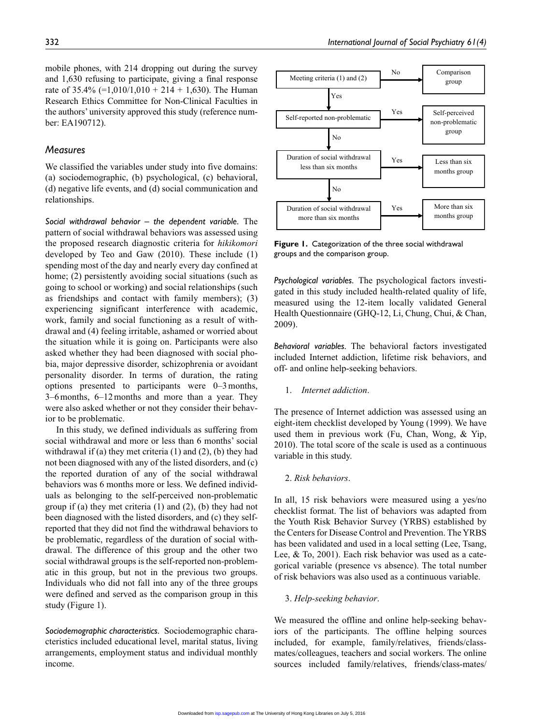mobile phones, with 214 dropping out during the survey and 1,630 refusing to participate, giving a final response rate of  $35.4\%$  (=1,010/1,010 + 214 + 1,630). The Human Research Ethics Committee for Non-Clinical Faculties in the authors' university approved this study (reference number: EA190712).

### *Measures*

We classified the variables under study into five domains: (a) sociodemographic, (b) psychological, (c) behavioral, (d) negative life events, and (d) social communication and relationships.

*Social withdrawal behavior – the dependent variable.* The pattern of social withdrawal behaviors was assessed using the proposed research diagnostic criteria for *hikikomori* developed by Teo and Gaw (2010). These include (1) spending most of the day and nearly every day confined at home; (2) persistently avoiding social situations (such as going to school or working) and social relationships (such as friendships and contact with family members); (3) experiencing significant interference with academic, work, family and social functioning as a result of withdrawal and (4) feeling irritable, ashamed or worried about the situation while it is going on. Participants were also asked whether they had been diagnosed with social phobia, major depressive disorder, schizophrenia or avoidant personality disorder. In terms of duration, the rating options presented to participants were 0–3months, 3–6months, 6–12months and more than a year. They were also asked whether or not they consider their behavior to be problematic.

In this study, we defined individuals as suffering from social withdrawal and more or less than 6 months' social withdrawal if (a) they met criteria (1) and (2), (b) they had not been diagnosed with any of the listed disorders, and (c) the reported duration of any of the social withdrawal behaviors was 6 months more or less. We defined individuals as belonging to the self-perceived non-problematic group if (a) they met criteria (1) and (2), (b) they had not been diagnosed with the listed disorders, and (c) they selfreported that they did not find the withdrawal behaviors to be problematic, regardless of the duration of social withdrawal. The difference of this group and the other two social withdrawal groups is the self-reported non-problematic in this group, but not in the previous two groups. Individuals who did not fall into any of the three groups were defined and served as the comparison group in this study (Figure 1).

*Sociodemographic characteristics.* Sociodemographic characteristics included educational level, marital status, living arrangements, employment status and individual monthly income.



**Figure 1.** Categorization of the three social withdrawal groups and the comparison group.

*Psychological variables.* The psychological factors investigated in this study included health-related quality of life, measured using the 12-item locally validated General Health Questionnaire (GHQ-12, Li, Chung, Chui, & Chan, 2009).

*Behavioral variables.* The behavioral factors investigated included Internet addiction, lifetime risk behaviors, and off- and online help-seeking behaviors.

1. *Internet addiction*.

The presence of Internet addiction was assessed using an eight-item checklist developed by Young (1999). We have used them in previous work (Fu, Chan, Wong, & Yip, 2010). The total score of the scale is used as a continuous variable in this study.

2. *Risk behaviors*.

In all, 15 risk behaviors were measured using a yes/no checklist format. The list of behaviors was adapted from the Youth Risk Behavior Survey (YRBS) established by the Centers for Disease Control and Prevention. The YRBS has been validated and used in a local setting (Lee, Tsang, Lee, & To, 2001). Each risk behavior was used as a categorical variable (presence vs absence). The total number of risk behaviors was also used as a continuous variable.

#### 3. *Help-seeking behavior*.

We measured the offline and online help-seeking behaviors of the participants. The offline helping sources included, for example, family/relatives, friends/classmates/colleagues, teachers and social workers. The online sources included family/relatives, friends/class-mates/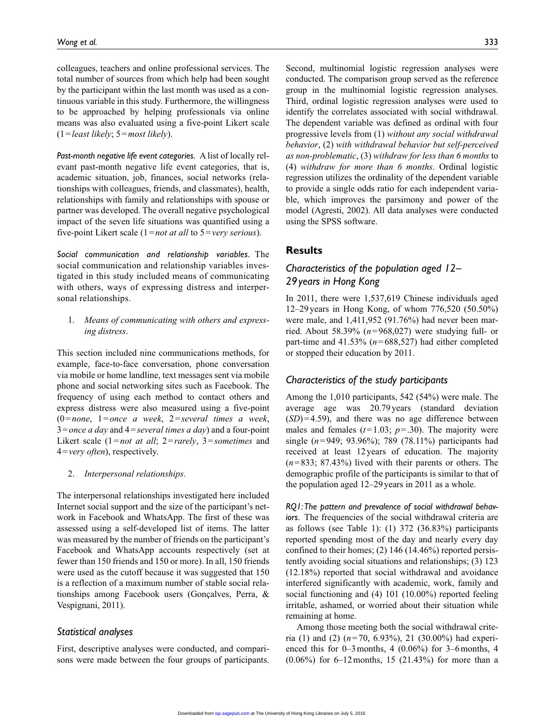colleagues, teachers and online professional services. The total number of sources from which help had been sought by the participant within the last month was used as a continuous variable in this study. Furthermore, the willingness to be approached by helping professionals via online means was also evaluated using a five-point Likert scale (1=*least likely*; 5=*most likely*).

*Past-month negative life event categories.* A list of locally relevant past-month negative life event categories, that is, academic situation, job, finances, social networks (relationships with colleagues, friends, and classmates), health, relationships with family and relationships with spouse or partner was developed. The overall negative psychological impact of the seven life situations was quantified using a five-point Likert scale (1=*not at all* to 5=*very serious*).

*Social communication and relationship variables.* The social communication and relationship variables investigated in this study included means of communicating with others, ways of expressing distress and interpersonal relationships.

1. *Means of communicating with others and expressing distress*.

This section included nine communications methods, for example, face-to-face conversation, phone conversation via mobile or home landline, text messages sent via mobile phone and social networking sites such as Facebook. The frequency of using each method to contact others and express distress were also measured using a five-point (0=*none*, 1=*once a week*, 2=*several times a week*, 3=*once a day* and 4=*several times a day*) and a four-point Likert scale (1=*not at all*; 2=*rarely*, 3=*sometimes* and 4=*very often*), respectively.

2. *Interpersonal relationships*.

The interpersonal relationships investigated here included Internet social support and the size of the participant's network in Facebook and WhatsApp. The first of these was assessed using a self-developed list of items. The latter was measured by the number of friends on the participant's Facebook and WhatsApp accounts respectively (set at fewer than 150 friends and 150 or more). In all, 150 friends were used as the cutoff because it was suggested that 150 is a reflection of a maximum number of stable social relationships among Facebook users (Gonçalves, Perra, & Vespignani, 2011).

#### *Statistical analyses*

First, descriptive analyses were conducted, and comparisons were made between the four groups of participants.

Second, multinomial logistic regression analyses were conducted. The comparison group served as the reference group in the multinomial logistic regression analyses. Third, ordinal logistic regression analyses were used to identify the correlates associated with social withdrawal. The dependent variable was defined as ordinal with four progressive levels from (1) *without any social withdrawal behavior*, (2) *with withdrawal behavior but self-perceived as non-problematic*, (3) *withdraw for less than 6 months* to (4) *withdraw for more than 6 months*. Ordinal logistic regression utilizes the ordinality of the dependent variable to provide a single odds ratio for each independent variable, which improves the parsimony and power of the model (Agresti, 2002). All data analyses were conducted using the SPSS software.

## **Results**

# *Characteristics of the population aged 12– 29years in Hong Kong*

In 2011, there were 1,537,619 Chinese individuals aged 12–29years in Hong Kong, of whom 776,520 (50.50%) were male, and 1,411,952 (91.76%) had never been married. About 58.39% (*n*=968,027) were studying full- or part-time and 41.53% (*n*=688,527) had either completed or stopped their education by 2011.

### *Characteristics of the study participants*

Among the 1,010 participants, 542 (54%) were male. The average age was 20.79years (standard deviation  $(SD)=4.59$ , and there was no age difference between males and females  $(t=1.03; p=.30)$ . The majority were single (*n*=949; 93.96%); 789 (78.11%) participants had received at least 12years of education. The majority (*n*=833; 87.43%) lived with their parents or others. The demographic profile of the participants is similar to that of the population aged 12–29 years in 2011 as a whole.

*RQ1: The pattern and prevalence of social withdrawal behaviors.* The frequencies of the social withdrawal criteria are as follows (see Table 1): (1) 372 (36.83%) participants reported spending most of the day and nearly every day confined to their homes; (2) 146 (14.46%) reported persistently avoiding social situations and relationships; (3) 123 (12.18%) reported that social withdrawal and avoidance interfered significantly with academic, work, family and social functioning and (4) 101 (10.00%) reported feeling irritable, ashamed, or worried about their situation while remaining at home.

Among those meeting both the social withdrawal criteria (1) and (2) (*n*=70, 6.93%), 21 (30.00%) had experienced this for  $0-3$  months, 4  $(0.06\%)$  for 3–6 months, 4 (0.06%) for 6–12months, 15 (21.43%) for more than a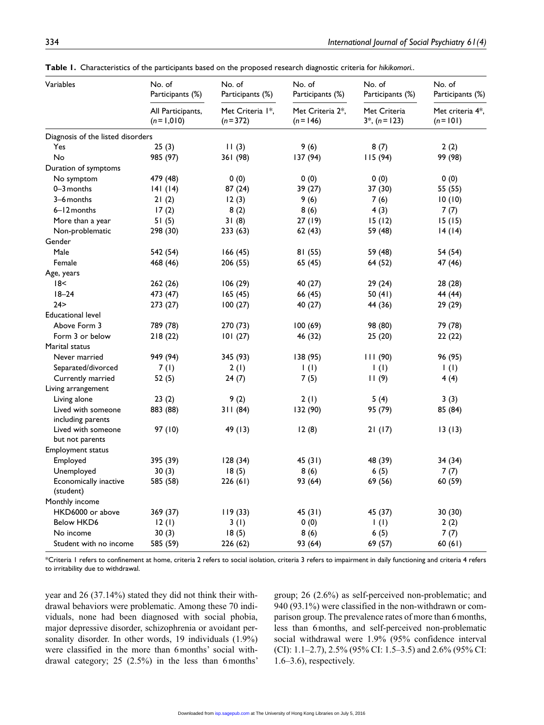| Variables                         | No. of<br>Participants (%)       | No. of<br>Participants (%)    | No. of<br>Participants (%)      | No. of<br>Participants (%)        | No. of<br>Participants (%)      |  |
|-----------------------------------|----------------------------------|-------------------------------|---------------------------------|-----------------------------------|---------------------------------|--|
|                                   | All Participants,<br>$(n=1,010)$ | Met Criteria 1*,<br>$(n=372)$ | Met Criteria 2*,<br>$(n = 146)$ | Met Criteria<br>$3^*$ , (n = 123) | Met criteria 4*,<br>$(n = 101)$ |  |
| Diagnosis of the listed disorders |                                  |                               |                                 |                                   |                                 |  |
| Yes                               | 25(3)                            | 11(3)                         | 9(6)                            | 8(7)                              | 2(2)                            |  |
| No                                | 985 (97)                         | 361 (98)                      | 137 (94)                        | 115(94)                           | 99 (98)                         |  |
| Duration of symptoms              |                                  |                               |                                 |                                   |                                 |  |
| No symptom                        | 479 (48)                         | 0(0)                          | 0(0)                            | 0(0)                              | 0(0)                            |  |
| 0-3 months                        | 141(14)                          | 87 (24)                       | 39 (27)                         | 37 (30)                           | 55 (55)                         |  |
| 3-6 months                        | 21(2)                            | 12(3)                         | 9(6)                            | 7(6)                              | 10(10)                          |  |
| $6 - 12$ months                   | 17(2)                            | 8(2)                          | 8(6)                            | 4 (3)                             | 7(7)                            |  |
| More than a year                  | 51 (5)                           | 31(8)                         | 27 (19)                         | 15(12)                            | 15(15)                          |  |
| Non-problematic                   | 298 (30)                         | 233(63)                       | 62(43)                          | 59 (48)                           | 14(14)                          |  |
| Gender                            |                                  |                               |                                 |                                   |                                 |  |
| Male                              | 542 (54)                         | 166 (45)                      | 81 (55)                         | 59 (48)                           | 54 (54)                         |  |
| Female                            | 468 (46)                         | 206 (55)                      | 65 (45)                         | 64 (52)                           | 47 (46)                         |  |
| Age, years                        |                                  |                               |                                 |                                   |                                 |  |
| 18<                               | 262 (26)                         | 106(29)                       | 40 (27)                         | 29 (24)                           | 28 (28)                         |  |
| $18 - 24$                         | 473 (47)                         | 165(45)                       | 66 (45)                         | 50 (41)                           | 44 (44)                         |  |
| 24 >                              | 273 (27)                         | 100(27)                       | 40 (27)                         | 44 (36)                           | 29 (29)                         |  |
| <b>Educational level</b>          |                                  |                               |                                 |                                   |                                 |  |
| Above Form 3                      | 789 (78)                         | 270 (73)                      | 100(69)                         | 98 (80)                           | 79 (78)                         |  |
| Form 3 or below                   | 218(22)                          | 101(27)                       | 46 (32)                         | 25(20)                            | 22(22)                          |  |
| Marital status                    |                                  |                               |                                 |                                   |                                 |  |
| Never married                     | 949 (94)                         | 345 (93)                      | 138 (95)                        | 111(90)                           | 96 (95)                         |  |
| Separated/divorced                | 7(1)                             | 2(1)                          | $\vert$ (l)                     | $\mathsf{I}(\mathsf{I})$          | $\mathsf{I}(\mathsf{I})$        |  |
| Currently married                 | 52 (5)                           | 24(7)                         | 7(5)                            | 11(9)                             | 4(4)                            |  |
| Living arrangement                |                                  |                               |                                 |                                   |                                 |  |
| Living alone                      | 23(2)                            | 9(2)                          | 2(1)                            | 5(4)                              | 3(3)                            |  |
| Lived with someone                | 883 (88)                         | 311 (84)                      | 132 (90)                        | 95 (79)                           | 85 (84)                         |  |
| including parents                 |                                  |                               |                                 |                                   |                                 |  |
| Lived with someone                | 97 (10)                          | 49 (13)                       | 12(8)                           | 21(17)                            | 13(13)                          |  |
| but not parents                   |                                  |                               |                                 |                                   |                                 |  |
| <b>Employment status</b>          |                                  |                               |                                 |                                   |                                 |  |
| Employed                          | 395 (39)                         | 128(34)                       | 45(31)                          | 48 (39)                           | 34 (34)                         |  |
| Unemployed                        | 30(3)                            | 18(5)                         | 8(6)                            | 6(5)                              | 7(7)                            |  |
| Economically inactive             | 585 (58)                         | 226(61)                       | 93 (64)                         | 69 (56)                           | 60 (59)                         |  |
| (student)                         |                                  |                               |                                 |                                   |                                 |  |
| Monthly income                    |                                  |                               |                                 |                                   |                                 |  |
| HKD6000 or above                  | 369 (37)                         | 119(33)                       | 45 (31)                         | 45 (37)                           | 30 (30)                         |  |
| Below HKD6                        | 12(1)                            | 3(1)                          | 0(0)                            | $\vert$ (l)                       | 2(2)                            |  |
| No income                         | 30 (3)                           | 18(5)                         | 8(6)                            | 6(5)                              | 7(7)                            |  |
| Student with no income            | 585 (59)                         | 226 (62)                      | 93 (64)                         | 69 (57)                           | 60(61)                          |  |

**Table 1.** Characteristics of the participants based on the proposed research diagnostic criteria for *hikikomori.*.

\*Criteria 1 refers to confinement at home, criteria 2 refers to social isolation, criteria 3 refers to impairment in daily functioning and criteria 4 refers to irritability due to withdrawal.

year and 26 (37.14%) stated they did not think their withdrawal behaviors were problematic. Among these 70 individuals, none had been diagnosed with social phobia, major depressive disorder, schizophrenia or avoidant personality disorder. In other words, 19 individuals (1.9%) were classified in the more than 6months' social withdrawal category; 25 (2.5%) in the less than 6months' group; 26 (2.6%) as self-perceived non-problematic; and 940 (93.1%) were classified in the non-withdrawn or comparison group. The prevalence rates of more than 6months, less than 6months, and self-perceived non-problematic social withdrawal were 1.9% (95% confidence interval (CI): 1.1–2.7), 2.5% (95% CI: 1.5–3.5) and 2.6% (95% CI: 1.6–3.6), respectively.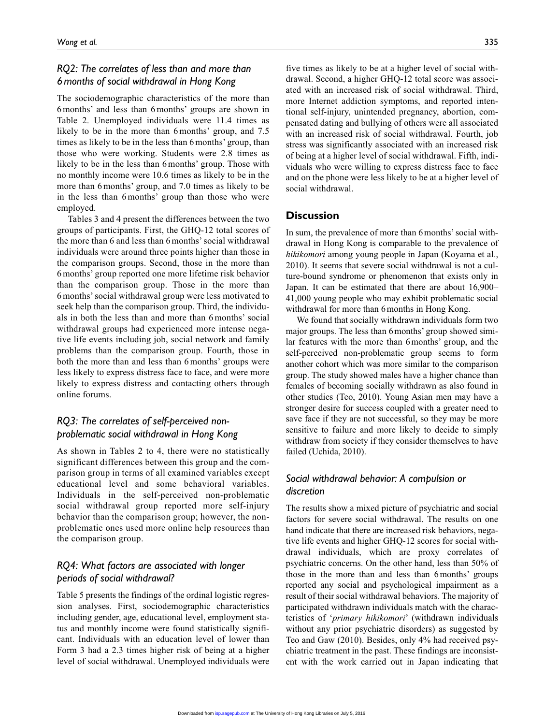# *RQ2: The correlates of less than and more than 6months of social withdrawal in Hong Kong*

The sociodemographic characteristics of the more than 6months' and less than 6months' groups are shown in Table 2. Unemployed individuals were 11.4 times as likely to be in the more than 6months' group, and 7.5 times as likely to be in the less than 6months' group, than those who were working. Students were 2.8 times as likely to be in the less than 6months' group. Those with no monthly income were 10.6 times as likely to be in the more than 6months' group, and 7.0 times as likely to be in the less than 6months' group than those who were employed.

Tables 3 and 4 present the differences between the two groups of participants. First, the GHQ-12 total scores of the more than 6 and less than 6 months' social withdrawal individuals were around three points higher than those in the comparison groups. Second, those in the more than 6months' group reported one more lifetime risk behavior than the comparison group. Those in the more than 6months' social withdrawal group were less motivated to seek help than the comparison group. Third, the individuals in both the less than and more than 6months' social withdrawal groups had experienced more intense negative life events including job, social network and family problems than the comparison group. Fourth, those in both the more than and less than 6months' groups were less likely to express distress face to face, and were more likely to express distress and contacting others through online forums.

# *RQ3: The correlates of self-perceived nonproblematic social withdrawal in Hong Kong*

As shown in Tables 2 to 4, there were no statistically significant differences between this group and the comparison group in terms of all examined variables except educational level and some behavioral variables. Individuals in the self-perceived non-problematic social withdrawal group reported more self-injury behavior than the comparison group; however, the nonproblematic ones used more online help resources than the comparison group.

# *RQ4: What factors are associated with longer periods of social withdrawal?*

Table 5 presents the findings of the ordinal logistic regression analyses. First, sociodemographic characteristics including gender, age, educational level, employment status and monthly income were found statistically significant. Individuals with an education level of lower than Form 3 had a 2.3 times higher risk of being at a higher level of social withdrawal. Unemployed individuals were five times as likely to be at a higher level of social withdrawal. Second, a higher GHQ-12 total score was associated with an increased risk of social withdrawal. Third, more Internet addiction symptoms, and reported intentional self-injury, unintended pregnancy, abortion, compensated dating and bullying of others were all associated with an increased risk of social withdrawal. Fourth, job stress was significantly associated with an increased risk of being at a higher level of social withdrawal. Fifth, individuals who were willing to express distress face to face and on the phone were less likely to be at a higher level of social withdrawal.

### **Discussion**

In sum, the prevalence of more than 6months' social withdrawal in Hong Kong is comparable to the prevalence of *hikikomori* among young people in Japan (Koyama et al., 2010). It seems that severe social withdrawal is not a culture-bound syndrome or phenomenon that exists only in Japan. It can be estimated that there are about 16,900– 41,000 young people who may exhibit problematic social withdrawal for more than 6 months in Hong Kong.

We found that socially withdrawn individuals form two major groups. The less than 6months' group showed similar features with the more than 6months' group, and the self-perceived non-problematic group seems to form another cohort which was more similar to the comparison group. The study showed males have a higher chance than females of becoming socially withdrawn as also found in other studies (Teo, 2010). Young Asian men may have a stronger desire for success coupled with a greater need to save face if they are not successful, so they may be more sensitive to failure and more likely to decide to simply withdraw from society if they consider themselves to have failed (Uchida, 2010).

# *Social withdrawal behavior: A compulsion or discretion*

The results show a mixed picture of psychiatric and social factors for severe social withdrawal. The results on one hand indicate that there are increased risk behaviors, negative life events and higher GHQ-12 scores for social withdrawal individuals, which are proxy correlates of psychiatric concerns. On the other hand, less than 50% of those in the more than and less than 6months' groups reported any social and psychological impairment as a result of their social withdrawal behaviors. The majority of participated withdrawn individuals match with the characteristics of '*primary hikikomori*' (withdrawn individuals without any prior psychiatric disorders) as suggested by Teo and Gaw (2010). Besides, only 4% had received psychiatric treatment in the past. These findings are inconsistent with the work carried out in Japan indicating that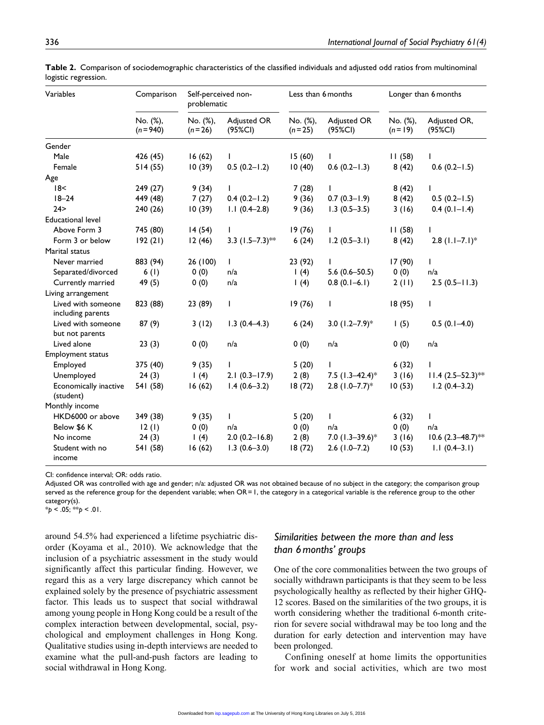| Variables                               | Comparison              | Self-perceived non-<br>problematic |                        | Less than 6 months   |                              | Longer than 6 months   |                                 |
|-----------------------------------------|-------------------------|------------------------------------|------------------------|----------------------|------------------------------|------------------------|---------------------------------|
|                                         | No. (%),<br>$(n = 940)$ | No. (%),<br>$(n=26)$               | Adjusted OR<br>(95%CI) | No. (%),<br>$(n=25)$ | Adjusted OR<br>(95%CI)       | No. (%),<br>$(n = 19)$ | Adjusted OR,<br>$(95\%CI)$      |
| Gender                                  |                         |                                    |                        |                      |                              |                        |                                 |
| Male                                    | 426 (45)                | 16(62)                             | $\mathbf{L}$           | 15(60)               | $\mathsf{L}$                 | 11(58)                 |                                 |
| Female                                  | 514(55)                 | 10(39)                             | $0.5(0.2 - 1.2)$       | 10(40)               | $0.6(0.2 - 1.3)$             | 8(42)                  | $0.6(0.2 - 1.5)$                |
| Age                                     |                         |                                    |                        |                      |                              |                        |                                 |
| 18<                                     | 249 (27)                | 9(34)                              | $\mathbf{I}$           | 7(28)                | $\mathsf{I}$                 | 8(42)                  |                                 |
| $18 - 24$                               | 449 (48)                | 7(27)                              | $0.4(0.2 - 1.2)$       | 9(36)                | $0.7(0.3-1.9)$               | 8(42)                  | $0.5(0.2 - 1.5)$                |
| 24 >                                    | 240 (26)                | 10(39)                             | $1.1(0.4-2.8)$         | 9(36)                | $1.3(0.5-3.5)$               | 3(16)                  | $0.4(0.1 - 1.4)$                |
| <b>Educational level</b>                |                         |                                    |                        |                      |                              |                        |                                 |
| Above Form 3                            | 745 (80)                | 14(54)                             | $\mathsf{I}$           | 19(76)               | L                            | 11(58)                 | L                               |
| Form 3 or below                         | 192(21)                 | 12(46)                             | 3.3 $(1.5-7.3)$ **     | 6(24)                | $1.2(0.5-3.1)$               | 8(42)                  | $2.8$ (1.1-7.1)*                |
| Marital status                          |                         |                                    |                        |                      |                              |                        |                                 |
| Never married                           | 883 (94)                | 26 (100)                           | $\mathbf{I}$           | 23 (92)              | $\mathbf{I}$                 | 17 (90)                | $\mathbf{I}$                    |
| Separated/divorced                      | 6(1)                    | 0(0)                               | n/a                    | 1(4)                 | $5.6(0.6 - 50.5)$            | 0(0)                   | n/a                             |
| Currently married                       | 49 (5)                  | 0(0)                               | n/a                    | 1(4)                 | $0.8(0.1-6.1)$               | 2(11)                  | $2.5(0.5 - 11.3)$               |
| Living arrangement                      |                         |                                    |                        |                      |                              |                        |                                 |
| Lived with someone<br>including parents | 823 (88)                | 23 (89)                            | $\mathsf{I}$           | 19(76)               | $\mathbf{I}$                 | 18(95)                 | $\mathbf{I}$                    |
| Lived with someone<br>but not parents   | 87(9)                   | 3(12)                              | $1.3(0.4-4.3)$         | 6(24)                | 3.0 $(1.2 - 7.9)^*$          | 1(5)                   | $0.5(0.1-4.0)$                  |
| Lived alone                             | 23(3)                   | 0(0)                               | n/a                    | 0(0)                 | n/a                          | 0(0)                   | n/a                             |
| <b>Employment status</b>                |                         |                                    |                        |                      |                              |                        |                                 |
| Employed                                | 375 (40)                | 9(35)                              | $\mathsf{I}$           | 5(20)                | L                            | 6(32)                  |                                 |
| Unemployed                              | 24(3)                   | 1(4)                               | $2.1(0.3 - 17.9)$      | 2(8)                 | 7.5 $(1.3 - 42.4)^*$         | 3(16)                  | $11.4 (2.5 - 52.3)$ **          |
| Economically inactive<br>(student)      | 541 (58)                | 16(62)                             | $1.4(0.6 - 3.2)$       | 18(72)               | $2.8$ (1.0-7.7) <sup>*</sup> | 10(53)                 | $1.2(0.4 - 3.2)$                |
| Monthly income                          |                         |                                    |                        |                      |                              |                        |                                 |
| HKD6000 or above                        | 349 (38)                | 9(35)                              | $\mathbf{L}$           | 5(20)                | L                            | 6(32)                  | $\mathbf{I}$                    |
| Below \$6 K                             | 12(1)                   | 0(0)                               | n/a                    | 0(0)                 | n/a                          | 0(0)                   | n/a                             |
| No income                               | 24(3)                   | 1(4)                               | $2.0(0.2 - 16.8)$      | 2(8)                 | 7.0 $(1.3 - 39.6)^*$         | 3(16)                  | $10.6$ (2.3–48.7) <sup>**</sup> |
| Student with no<br>income               | 541 (58)                | 16(62)                             | $1.3(0.6 - 3.0)$       | 18(72)               | $2.6(1.0 - 7.2)$             | 10(53)                 | $1.1(0.4-3.1)$                  |

**Table 2.** Comparison of sociodemographic characteristics of the classified individuals and adjusted odd ratios from multinominal logistic regression.

CI: confidence interval; OR: odds ratio.

Adjusted OR was controlled with age and gender; n/a: adjusted OR was not obtained because of no subject in the category; the comparison group served as the reference group for the dependent variable; when OR=1, the category in a categorical variable is the reference group to the other category(s).

\**p* < .05; \*\**p* < .01.

around 54.5% had experienced a lifetime psychiatric disorder (Koyama et al., 2010). We acknowledge that the inclusion of a psychiatric assessment in the study would significantly affect this particular finding. However, we regard this as a very large discrepancy which cannot be explained solely by the presence of psychiatric assessment factor. This leads us to suspect that social withdrawal among young people in Hong Kong could be a result of the complex interaction between developmental, social, psychological and employment challenges in Hong Kong. Qualitative studies using in-depth interviews are needed to examine what the pull-and-push factors are leading to social withdrawal in Hong Kong.

# *Similarities between the more than and less than 6months' groups*

One of the core commonalities between the two groups of socially withdrawn participants is that they seem to be less psychologically healthy as reflected by their higher GHQ-12 scores. Based on the similarities of the two groups, it is worth considering whether the traditional 6-month criterion for severe social withdrawal may be too long and the duration for early detection and intervention may have been prolonged.

Confining oneself at home limits the opportunities for work and social activities, which are two most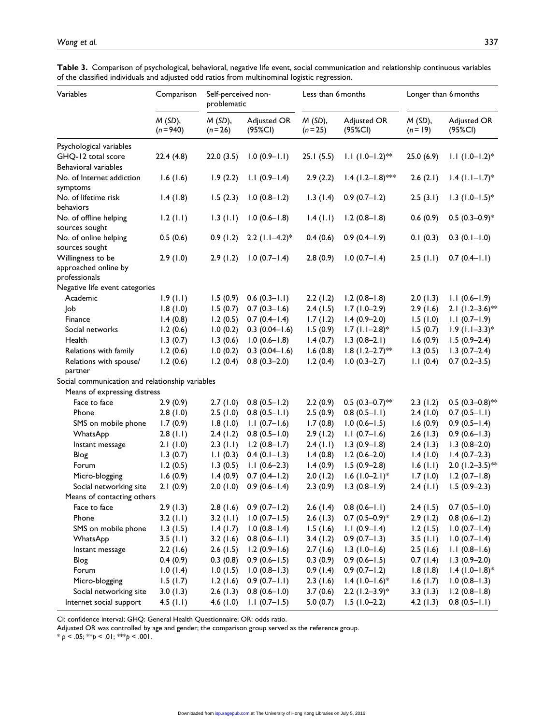| Variables                                       | Comparison               | Self-perceived non-<br>problematic |                        | Less than 6 months    |                               | Longer than 6 months    |                              |  |
|-------------------------------------------------|--------------------------|------------------------------------|------------------------|-----------------------|-------------------------------|-------------------------|------------------------------|--|
|                                                 | $M(SD)$ ,<br>$(n = 940)$ | $M(SD)$ ,<br>$(n=26)$              | Adjusted OR<br>(95%CI) | $M(SD)$ ,<br>$(n=25)$ | Adjusted OR<br>(95%CI)        | $M(SD)$ ,<br>$(n = 19)$ | Adjusted OR<br>(95%CI)       |  |
| Psychological variables                         |                          |                                    |                        |                       |                               |                         |                              |  |
| GHQ-12 total score                              | 22.4(4.8)                | 22.0(3.5)                          | $1.0(0.9 - 1.1)$       | 25.1(5.5)             | $1.1 (1.0 - 1.2)$ **          | 25.0(6.9)               | $1.1 (1.0 - 1.2)^*$          |  |
| Behavioral variables                            |                          |                                    |                        |                       |                               |                         |                              |  |
| No. of Internet addiction<br>symptoms           | 1.6(1.6)                 | 1.9(2.2)                           | $1.1(0.9-1.4)$         | 2.9(2.2)              | $1.4$ (1.2-1.8)***            | 2.6(2.1)                | $1.4$ (1.1-1.7)*             |  |
| No. of lifetime risk<br>behaviors               | 1.4(1.8)                 | 1.5(2.3)                           | $1.0(0.8-1.2)$         | 1.3(1.4)              | $0.9(0.7 - 1.2)$              | 2.5(3.1)                | $1.3$ (1.0-1.5) <sup>*</sup> |  |
| No. of offline helping<br>sources sought        | 1.2(1.1)                 | 1.3(1.1)                           | $1.0(0.6 - 1.8)$       | 1.4(1.1)              | $1.2(0.8-1.8)$                | 0.6(0.9)                | $0.5(0.3-0.9)*$              |  |
| No. of online helping<br>sources sought         | 0.5(0.6)                 | 0.9(1.2)                           | 2.2 $(1.1-4.2)$ *      | 0.4(0.6)              | $0.9(0.4-1.9)$                | 0.1(0.3)                | $0.3(0.1 - 1.0)$             |  |
| Willingness to be                               | 2.9(1.0)                 | 2.9(1.2)                           | $1.0(0.7 - 1.4)$       | 2.8(0.9)              | $1.0(0.7 - 1.4)$              | 2.5(1.1)                | $0.7(0.4-1.1)$               |  |
| approached online by<br>professionals           |                          |                                    |                        |                       |                               |                         |                              |  |
| Negative life event categories                  |                          |                                    |                        |                       |                               |                         |                              |  |
| Academic                                        | 1.9(1.1)                 | 1.5(0.9)                           | $0.6(0.3 - 1.1)$       | 2.2(1.2)              | $1.2(0.8-1.8)$                | 2.0(1.3)                | $1.1(0.6-1.9)$               |  |
| Job                                             | 1.8(1.0)                 | 1.5(0.7)                           | $0.7(0.3 - 1.6)$       | 2.4(1.5)              | $1.7(1.0-2.9)$                | 2.9(1.6)                | 2.1 $(1.2-3.6)$ **           |  |
| Finance                                         | 1.4(0.8)                 | 1.2(0.5)                           | $0.7(0.4-1.4)$         | 1.7(1.2)              | $1.4(0.9-2.0)$                | 1.5(1.0)                | $1.1(0.7-1.9)$               |  |
| Social networks                                 | 1.2(0.6)                 | 1.0(0.2)                           | $0.3(0.04-1.6)$        | 1.5(0.9)              | $1.7$ (1.1-2.8)*              | 1.5(0.7)                | $1.9$ (1.1-3.3)*             |  |
| Health                                          | 1.3(0.7)                 | 1.3(0.6)                           | $1.0(0.6 - 1.8)$       | 1.4(0.7)              | $1.3(0.8-2.1)$                | 1.6(0.9)                | $1.5(0.9-2.4)$               |  |
| Relations with family                           | 1.2(0.6)                 | 1.0(0.2)                           | $0.3(0.04-1.6)$        | 1.6(0.8)              | $1.8$ (1.2-2.7) <sup>**</sup> | 1.3(0.5)                | $1.3(0.7-2.4)$               |  |
| Relations with spouse/<br>partner               | 1.2(0.6)                 | 1.2(0.4)                           | $0.8(0.3-2.0)$         | 1.2(0.4)              | $1.0(0.3-2.7)$                | 1.1(0.4)                | $0.7(0.2 - 3.5)$             |  |
| Social communication and relationship variables |                          |                                    |                        |                       |                               |                         |                              |  |
| Means of expressing distress                    |                          |                                    |                        |                       |                               |                         |                              |  |
| Face to face                                    | 2.9(0.9)                 | 2.7(1.0)                           | $0.8(0.5 - 1.2)$       | 2.2(0.9)              | $0.5$ (0.3-0.7) <sup>**</sup> | 2.3(1.2)                | $0.5$ (0.3-0.8)**            |  |
| Phone                                           | 2.8(1.0)                 | 2.5(1.0)                           | $0.8(0.5 - 1.1)$       | 2.5(0.9)              | $0.8(0.5 - 1.1)$              | 2.4(1.0)                | $0.7(0.5-1.1)$               |  |
| SMS on mobile phone                             | 1.7(0.9)                 | 1.8(1.0)                           | $1.1(0.7-1.6)$         | 1.7(0.8)              | $1.0(0.6 - 1.5)$              | 1.6(0.9)                | $0.9(0.5 - 1.4)$             |  |
| WhatsApp                                        | 2.8(1.1)                 | 2.4(1.2)                           | $0.8(0.5 - 1.0)$       | 2.9(1.2)              | $1.1(0.7-1.6)$                | 2.6(1.3)                | $0.9(0.6-1.3)$               |  |
| Instant message                                 | 2.1(1.0)                 | 2.3(1.1)                           | $1.2(0.8-1.7)$         | 2.4(1.1)              | $1.3(0.9 - 1.8)$              | 2.4(1.3)                | $1.3(0.8-2.0)$               |  |
| Blog                                            | 1.3(0.7)                 | 1.1(0.3)                           | $0.4(0.1 - 1.3)$       | 1.4(0.8)              | $1.2(0.6-2.0)$                | 1.4(1.0)                | $1.4(0.7-2.3)$               |  |
| Forum                                           | 1.2(0.5)                 | 1.3(0.5)                           | $1.1(0.6-2.3)$         | 1.4(0.9)              | $1.5(0.9-2.8)$                | 1.6(1.1)                | 2.0 $(1.2 - 3.5)$ **         |  |
| Micro-blogging                                  | 1.6(0.9)                 | 1.4(0.9)                           | $0.7(0.4-1.2)$         | 2.0(1.2)              | $1.6(1.0-2.1)*$               | 1.7(1.0)                | $1.2(0.7 - 1.8)$             |  |
| Social networking site                          | 2.1(0.9)                 | 2.0(1.0)                           | $0.9(0.6 - 1.4)$       | 2.3(0.9)              | $1.3(0.8-1.9)$                | 2.4 (1.1)               | $1.5(0.9-2.3)$               |  |
| Means of contacting others                      |                          |                                    |                        |                       |                               |                         |                              |  |
| Face to face                                    | 2.9(1.3)                 | 2.8(1.6)                           | $0.9(0.7 - 1.2)$       | 2.6(1.4)              | $0.8(0.6-1.1)$                | 2.4(1.5)                | $0.7(0.5 - 1.0)$             |  |
| Phone                                           | 3.2(1.1)                 | $3.2$ (1.1)                        | $1.0(0.7 - 1.5)$       | 2.6(1.3)              | $0.7(0.5-0.9)*$               | 2.9(1.2)                | $0.8(0.6 - 1.2)$             |  |
| SMS on mobile phone                             | 1.3(1.5)                 | 1.4(1.7)                           | $1.0(0.8-1.4)$         | 1.5(1.6)              | $1.1(0.9-1.4)$                | 1.2(1.5)                | $1.0(0.7 - 1.4)$             |  |
| WhatsApp                                        | 3.5(1.1)                 | 3.2(1.6)                           | $0.8(0.6-1.1)$         | 3.4(1.2)              | $0.9(0.7 - 1.3)$              | 3.5(1.1)                | $1.0(0.7 - 1.4)$             |  |
| Instant message                                 | 2.2(1.6)                 | 2.6(1.5)                           | $1.2(0.9-1.6)$         | 2.7(1.6)              | $1.3(1.0-1.6)$                | 2.5(1.6)                | $1.1(0.8-1.6)$               |  |
| Blog                                            | 0.4(0.9)                 | 0.3(0.8)                           | $0.9(0.6 - 1.5)$       | 0.3(0.9)              | $0.9(0.6 - 1.5)$              | 0.7(1.4)                | $1.3(0.9-2.0)$               |  |
| Forum                                           | 1.0(1.4)                 | 1.0(1.5)                           | $1.0(0.8-1.3)$         | 0.9(1.4)              | $0.9(0.7 - 1.2)$              | 1.8(1.8)                | $1.4(1.0-1.8)$ *             |  |
| Micro-blogging                                  | 1.5(1.7)                 | 1.2(1.6)                           | $0.9(0.7 - 1.1)$       | 2.3(1.6)              | $1.4(1.0-1.6)*$               | 1.6(1.7)                | $1.0(0.8-1.3)$               |  |
| Social networking site                          | 3.0(1.3)                 | 2.6(1.3)                           | $0.8(0.6 - 1.0)$       | 3.7(0.6)              | $2.2 (1.2 - 3.9)^*$           | 3.3(1.3)                | $1.2(0.8-1.8)$               |  |
| Internet social support                         | $4.5$ (1.1)              | 4.6(1.0)                           | $1.1(0.7-1.5)$         | 5.0(0.7)              | $1.5(1.0-2.2)$                | 4.2(1.3)                | $0.8(0.5 - 1.1)$             |  |

**Table 3.** Comparison of psychological, behavioral, negative life event, social communication and relationship continuous variables of the classified individuals and adjusted odd ratios from multinominal logistic regression.

CI: confidence interval; GHQ: General Health Questionnaire; OR: odds ratio.

Adjusted OR was controlled by age and gender; the comparison group served as the reference group.

 $* p < .05; ** p < .01; ** p < .001.$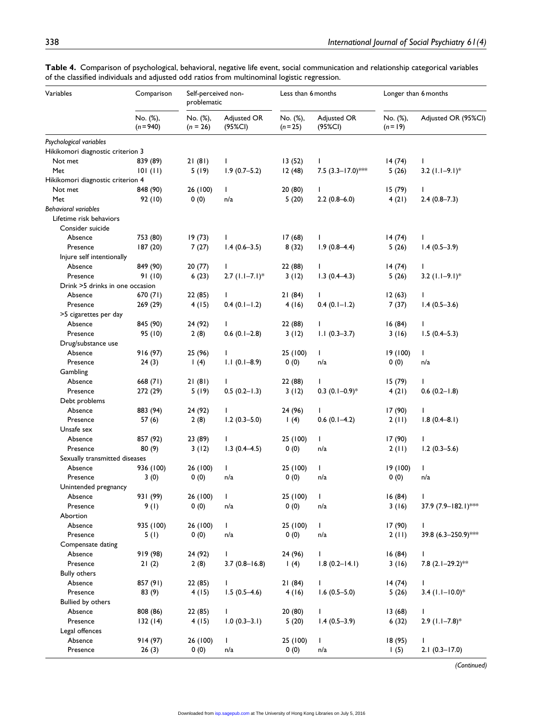| Variables                                   | Comparison              | Self-perceived non-<br>problematic |                        | Less than 6 months   |                        | Longer than 6 months   |                      |
|---------------------------------------------|-------------------------|------------------------------------|------------------------|----------------------|------------------------|------------------------|----------------------|
|                                             | No. (%),<br>$(n = 940)$ | No. (%),<br>$(n = 26)$             | Adjusted OR<br>(95%CI) | No. (%),<br>$(n=25)$ | Adjusted OR<br>(95%CI) | No. (%),<br>$(n = 19)$ | Adjusted OR (95%Cl)  |
| Psychological variables                     |                         |                                    |                        |                      |                        |                        |                      |
| Hikikomori diagnostic criterion 3           |                         |                                    |                        |                      |                        |                        |                      |
| Not met                                     | 839 (89)                | 21(81)                             | L                      | 13(52)               | $\mathbf{I}$           | 14(74)                 | T                    |
| Met                                         | 101(11)                 | 5(19)                              | $1.9(0.7-5.2)$         | 12(48)               | 7.5 $(3.3 - 17.0)$ *** | 5(26)                  | 3.2 $(1.1-9.1)$ *    |
| Hikikomori diagnostic criterion 4           |                         |                                    |                        |                      |                        |                        |                      |
| Not met                                     | 848 (90)                | 26 (100)                           | $\mathbf{I}$           | 20 (80)              | $\mathsf{I}$           | 15(79)                 | T                    |
| Met                                         | 92 (10)                 | 0(0)                               | n/a                    | 5(20)                | $2.2(0.8-6.0)$         | 4(21)                  | $2.4(0.8-7.3)$       |
| <b>Behavioral variables</b>                 |                         |                                    |                        |                      |                        |                        |                      |
| Lifetime risk behaviors<br>Consider suicide |                         |                                    |                        |                      |                        |                        |                      |
| Absence                                     | 753 (80)                | 19(73)                             | $\mathsf{I}$           | 17(68)               | L                      | 14(74)                 | L                    |
| Presence                                    | 187 (20)                | 7(27)                              | $1.4(0.6-3.5)$         | 8(32)                | $1.9(0.8-4.4)$         | 5(26)                  | $1.4(0.5-3.9)$       |
| Injure self intentionally                   |                         |                                    |                        |                      |                        |                        |                      |
| Absence                                     | 849 (90)                | 20(77)                             | $\mathbf{I}$           | 22 (88)              | L                      | 14(74)                 | L                    |
| Presence                                    | 91(10)                  | 6(23)                              | $2.7$ (1.1-7.1)*       | 3(12)                | $1.3(0.4-4.3)$         | 5(26)                  | 3.2 $(1.1-9.1)$ *    |
| Drink >5 drinks in one occasion             |                         |                                    |                        |                      |                        |                        |                      |
| Absence                                     | 670 (71)                | 22 (85)                            | T.                     | 21(84)               | L                      | 12(63)                 | L                    |
| Presence                                    | 269 (29)                | 4(15)                              | $0.4(0.1-1.2)$         | 4(16)                | $0.4(0.1 - 1.2)$       | 7(37)                  | $1.4(0.5-3.6)$       |
| >5 cigarettes per day                       |                         |                                    |                        |                      |                        |                        |                      |
| Absence                                     | 845 (90)                | 24 (92)                            |                        | 22 (88)              | L                      | 16(84)                 | L                    |
| Presence                                    | 95 (10)                 | 2(8)                               | $0.6$ $(0.1-2.8)$      | 3(12)                | $1.1(0.3-3.7)$         | 3(16)                  | $1.5(0.4 - 5.3)$     |
| Drug/substance use                          |                         |                                    |                        |                      |                        |                        |                      |
| Absence                                     | 916 (97)                | 25 (96)                            | L                      | 25 (100)             | L                      | 19 (100)               | $\mathbf{I}$         |
|                                             |                         |                                    | $1.1(0.1 - 8.9)$       |                      |                        |                        |                      |
| Presence                                    | 24(3)                   | 1(4)                               |                        | 0(0)                 | n/a                    | 0(0)                   | n/a                  |
| Gambling                                    |                         |                                    |                        |                      |                        |                        |                      |
| Absence                                     | 668 (71)                | 21(81)                             | J.                     | 22 (88)              | L                      | 15(79)                 | $\mathbf{I}$         |
| Presence                                    | 272 (29)                | 5(19)                              | $0.5(0.2 - 1.3)$       | 3(12)                | $0.3$ $(0.1-0.9)$ *    | 4(21)                  | $0.6$ $(0.2 - 1.8)$  |
| Debt problems                               |                         |                                    |                        |                      |                        |                        |                      |
| Absence                                     | 883 (94)                | 24 (92)                            | L                      | 24 (96)              | L                      | 17 (90)                |                      |
| Presence                                    | 57(6)                   | 2(8)                               | $1.2(0.3 - 5.0)$       | 1(4)                 | $0.6(0.1-4.2)$         | 2(11)                  | $1.8(0.4 - 8.1)$     |
| Unsafe sex                                  |                         |                                    |                        |                      |                        |                        |                      |
| Absence                                     | 857 (92)                | 23 (89)                            | L                      | 25 (100)             | L                      | 17 (90)                | L                    |
| Presence                                    | 80(9)                   | 3(12)                              | $1.3(0.4-4.5)$         | 0(0)                 | n/a                    | 2(11)                  | $1.2(0.3-5.6)$       |
| Sexually transmitted diseases               |                         |                                    |                        |                      |                        |                        |                      |
| Absence                                     | 936 (100)               | 26 (100)                           | L                      | 25 (100)             | L                      | 19 (100)               | T                    |
| Presence                                    | 3(0)                    | 0(0)                               | n/a                    | 0(0)                 | n/a                    | 0(0)                   | n/a                  |
| Unintended pregnancy                        |                         |                                    |                        |                      |                        |                        |                      |
| Absence                                     | 931 (99)                | 26 (100)                           | I                      | 25 (100)             | L                      | 16(84)                 | T                    |
| Presence                                    | 9(1)                    | 0(0)                               | n/a                    | 0(0)                 | n/a                    | 3(16)                  | 37.9 (7.9-182.1)***  |
| Abortion                                    |                         |                                    |                        |                      |                        |                        |                      |
| Absence                                     | 935 (100)               | 26 (100)                           | L                      | 25 (100)             | $\mathbf{I}$           | 17 (90)                | L                    |
| Presence                                    | 5(1)                    | 0(0)                               | n/a                    | 0(0)                 | n/a                    | 2(11)                  | 39.8 (6.3-250.9)***  |
| Compensate dating                           |                         |                                    |                        |                      |                        |                        |                      |
| Absence                                     | 919 (98)                | 24 (92)                            | L                      | 24 (96)              | T                      | 16(84)                 | $\mathbf{L}$         |
| Presence                                    | 21(2)                   | 2(8)                               | $3.7(0.8 - 16.8)$      | 1(4)                 | $1.8(0.2 - 14.1)$      | 3(16)                  | 7.8 $(2.1-29.2)$ **  |
| <b>Bully others</b>                         |                         |                                    |                        |                      |                        |                        |                      |
| Absence                                     | 857 (91)                | 22 (85)                            | L                      | 21(84)               | L                      | 14(74)                 | L                    |
| Presence                                    | 83 (9)                  | 4(15)                              | $1.5(0.5-4.6)$         | 4(16)                | $1.6(0.5 - 5.0)$       | 5(26)                  | 3.4 $(1.1 - 10.0)$ * |
| <b>Bullied by others</b>                    |                         |                                    |                        |                      |                        |                        |                      |
| Absence                                     | 808 (86)                | 22 (85)                            | L                      | 20 (80)              | T                      | 13(68)                 | L                    |
| Presence                                    | 132(14)                 | 4(15)                              | $1.0(0.3-3.1)$         | 5(20)                | $1.4(0.5-3.9)$         | 6(32)                  | $2.9$ (1.1-7.8)*     |
| Legal offences                              |                         |                                    |                        |                      |                        |                        |                      |
| Absence                                     | 914 (97)                | 26 (100)                           | L                      | 25 (100)             | Τ                      | 18 (95)                | ı                    |
| Presence                                    | 26(3)                   | 0(0)                               | n/a                    | 0(0)                 | n/a                    | 1(5)                   | $2.1(0.3 - 17.0)$    |

**Table 4.** Comparison of psychological, behavioral, negative life event, social communication and relationship categorical variables of the classified individuals and adjusted odd ratios from multinominal logistic regression.

*(Continued)*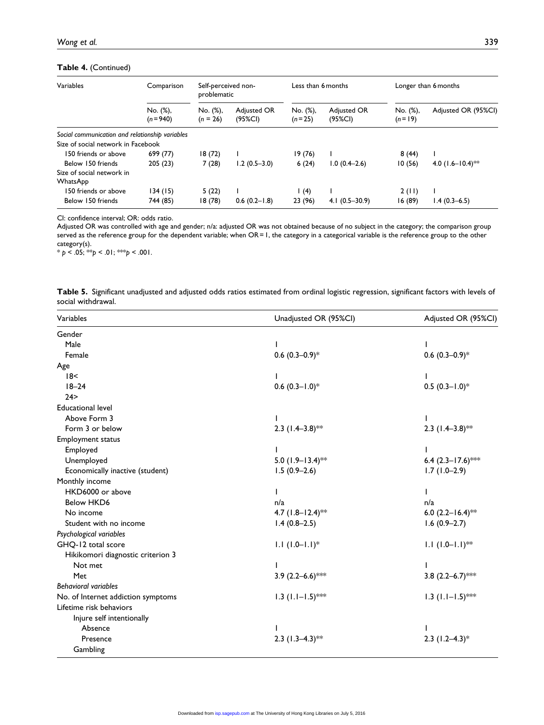#### **Table 4.** (Continued)

| Variables                                       | Comparison              | Self-perceived non-<br>problematic |                        | Less than 6 months   |                        | Longer than 6 months |                       |  |
|-------------------------------------------------|-------------------------|------------------------------------|------------------------|----------------------|------------------------|----------------------|-----------------------|--|
|                                                 | No. (%),<br>$(n = 940)$ | No. (%),<br>$(n = 26)$             | Adjusted OR<br>(95%CI) | No. (%),<br>$(n=25)$ | Adjusted OR<br>(95%CI) | No. (%),<br>$(n=19)$ | Adjusted OR (95%Cl)   |  |
| Social communication and relationship variables |                         |                                    |                        |                      |                        |                      |                       |  |
| Size of social network in Facebook              |                         |                                    |                        |                      |                        |                      |                       |  |
| 150 friends or above                            | 699 (77)                | 18(72)                             |                        | 19(76)               |                        | 8(44)                |                       |  |
| Below 150 friends                               | 205(23)                 | 7(28)                              | $1.2(0.5-3.0)$         | 6(24)                | $1.0(0.4-2.6)$         | 10(56)               | 4.0 $(1.6 - 10.4)$ ** |  |
| Size of social network in                       |                         |                                    |                        |                      |                        |                      |                       |  |
| <b>WhatsApp</b>                                 |                         |                                    |                        |                      |                        |                      |                       |  |
| 150 friends or above                            | 134(15)                 | 5(22)                              |                        | 1(4)                 |                        | 2(11)                |                       |  |
| Below 150 friends                               | 744 (85)                | 18 (78)                            | $0.6(0.2 - 1.8)$       | 23 (96)              | $4.1(0.5-30.9)$        | 16(89)               | $1.4(0.3-6.5)$        |  |

CI: confidence interval; OR: odds ratio.

Adjusted OR was controlled with age and gender; n/a: adjusted OR was not obtained because of no subject in the category; the comparison group served as the reference group for the dependent variable; when OR=1, the category in a categorical variable is the reference group to the other category(s).

\* *p* < .05; \*\**p* < .01; \*\*\**p* < .001.

|                    |  |  |  |  | Table 5. Significant unadjusted and adjusted odds ratios estimated from ordinal logistic regression, significant factors with levels of |  |
|--------------------|--|--|--|--|-----------------------------------------------------------------------------------------------------------------------------------------|--|
| social withdrawal. |  |  |  |  |                                                                                                                                         |  |

| Variables                          | Unadjusted OR (95%Cl) | Adjusted OR (95%Cl)   |
|------------------------------------|-----------------------|-----------------------|
| Gender                             |                       |                       |
| Male                               |                       |                       |
| Female                             | $0.6$ $(0.3-0.9)$ *   | $0.6$ $(0.3-0.9)$ *   |
| Age                                |                       |                       |
| 18<                                |                       | I.                    |
| $18 - 24$                          | $0.6$ $(0.3-1.0)$ *   | $0.5(0.3 - 1.0)^*$    |
| 24 >                               |                       |                       |
| <b>Educational level</b>           |                       |                       |
| Above Form 3                       |                       |                       |
| Form 3 or below                    | 2.3 $(1.4-3.8)$ **    | 2.3 $(1.4-3.8)$ **    |
| Employment status                  |                       |                       |
| Employed                           |                       |                       |
| Unemployed                         | 5.0 $(1.9 - 13.4)$ ** | 6.4 $(2.3 - 17.6)$ ** |
| Economically inactive (student)    | $1.5(0.9-2.6)$        | $1.7(1.0-2.9)$        |
| Monthly income                     |                       |                       |
| HKD6000 or above                   |                       |                       |
| <b>Below HKD6</b>                  | n/a                   | n/a                   |
| No income                          | 4.7 $(1.8 - 12.4)$ ** | 6.0 $(2.2 - 16.4)$ ** |
| Student with no income             | $1.4(0.8-2.5)$        | $1.6(0.9 - 2.7)$      |
| Psychological variables            |                       |                       |
| GHQ-12 total score                 | $1.1 (1.0 - 1.1)^*$   | $1.1 (1.0 - 1.1)$ **  |
| Hikikomori diagnostic criterion 3  |                       |                       |
| Not met                            |                       |                       |
| Met                                | 3.9 $(2.2-6.6)$ **    | 3.8 $(2.2 - 6.7)$ **  |
| <b>Behavioral variables</b>        |                       |                       |
| No. of Internet addiction symptoms | $1.3$ (1.1–1.5)***    | $1.3$ (1.1-1.5)***    |
| Lifetime risk behaviors            |                       |                       |
| Injure self intentionally          |                       |                       |
| Absence                            |                       |                       |
| Presence                           | 2.3 $(1.3-4.3)$ **    | $2.3$ (1.2-4.3)*      |
| Gambling                           |                       |                       |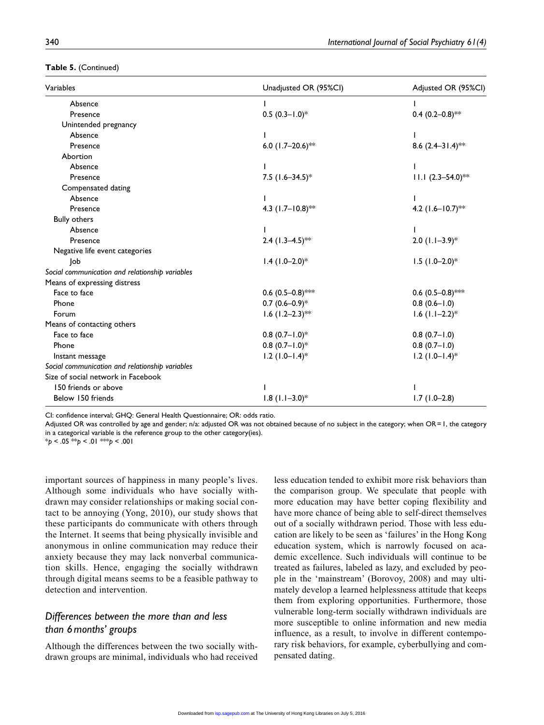#### **Table 5.** (Continued)

| Variables                                       | Unadjusted OR (95%Cl)         | Adjusted OR (95%Cl)          |
|-------------------------------------------------|-------------------------------|------------------------------|
| Absence                                         |                               |                              |
| Presence                                        | $0.5(0.3 - 1.0)^*$            | 0.4 $(0.2 - 0.8)$ **         |
| Unintended pregnancy                            |                               |                              |
| Absence                                         |                               |                              |
| Presence                                        | 6.0 $(1.7-20.6)$ **           | 8.6 $(2.4 - 31.4)$ **        |
| Abortion                                        |                               |                              |
| Absence                                         |                               |                              |
| Presence                                        | 7.5 $(1.6 - 34.5)^*$          | $11.1 (2.3 - 54.0)$ **       |
| Compensated dating                              |                               |                              |
| Absence                                         |                               |                              |
| Presence                                        | 4.3 $(1.7 - 10.8)$ **         | 4.2 $(1.6 - 10.7)$ **        |
| <b>Bully others</b>                             |                               |                              |
| Absence                                         |                               |                              |
| Presence                                        | 2.4 $(1.3 - 4.5)$ **          | $2.0$ (1.1-3.9)*             |
| Negative life event categories                  |                               |                              |
| Job                                             | $1.4$ (1.0-2.0)*              | $1.5$ (1.0-2.0)*             |
| Social communication and relationship variables |                               |                              |
| Means of expressing distress                    |                               |                              |
| Face to face                                    | 0.6 $(0.5-0.8)$ **            | 0.6 $(0.5-0.8)$ ***          |
| Phone                                           | $0.7$ $(0.6-0.9)*$            | $0.8(0.6-1.0)$               |
| Forum                                           | $1.6$ (1.2-2.3) <sup>**</sup> | $1.6$ (1.1-2.2)*             |
| Means of contacting others                      |                               |                              |
| Face to face                                    | $0.8$ $(0.7-1.0)$ *           | $0.8(0.7-1.0)$               |
| Phone                                           | $0.8$ $(0.7 - 1.0)$ *         | $0.8(0.7 - 1.0)$             |
| Instant message                                 | $1.2$ (1.0-1.4) <sup>*</sup>  | $1.2$ (1.0-1.4) <sup>*</sup> |
| Social communication and relationship variables |                               |                              |
| Size of social network in Facebook              |                               |                              |
| 150 friends or above                            |                               |                              |
| Below 150 friends                               | $1.8$ (1.1-3.0)*              | $1.7(1.0-2.8)$               |

CI: confidence interval; GHQ: General Health Questionnaire; OR: odds ratio.

Adjusted OR was controlled by age and gender; n/a: adjusted OR was not obtained because of no subject in the category; when OR=1, the category in a categorical variable is the reference group to the other category(ies).

\**p* < .05 \*\**p* < .01 \*\*\**p* < .001

important sources of happiness in many people's lives. Although some individuals who have socially withdrawn may consider relationships or making social contact to be annoying (Yong, 2010), our study shows that these participants do communicate with others through the Internet. It seems that being physically invisible and anonymous in online communication may reduce their anxiety because they may lack nonverbal communication skills. Hence, engaging the socially withdrawn through digital means seems to be a feasible pathway to detection and intervention.

# *Differences between the more than and less than 6months' groups*

Although the differences between the two socially withdrawn groups are minimal, individuals who had received less education tended to exhibit more risk behaviors than the comparison group. We speculate that people with more education may have better coping flexibility and have more chance of being able to self-direct themselves out of a socially withdrawn period. Those with less education are likely to be seen as 'failures' in the Hong Kong education system, which is narrowly focused on academic excellence. Such individuals will continue to be treated as failures, labeled as lazy, and excluded by people in the 'mainstream' (Borovoy, 2008) and may ultimately develop a learned helplessness attitude that keeps them from exploring opportunities. Furthermore, those vulnerable long-term socially withdrawn individuals are more susceptible to online information and new media influence, as a result, to involve in different contemporary risk behaviors, for example, cyberbullying and compensated dating.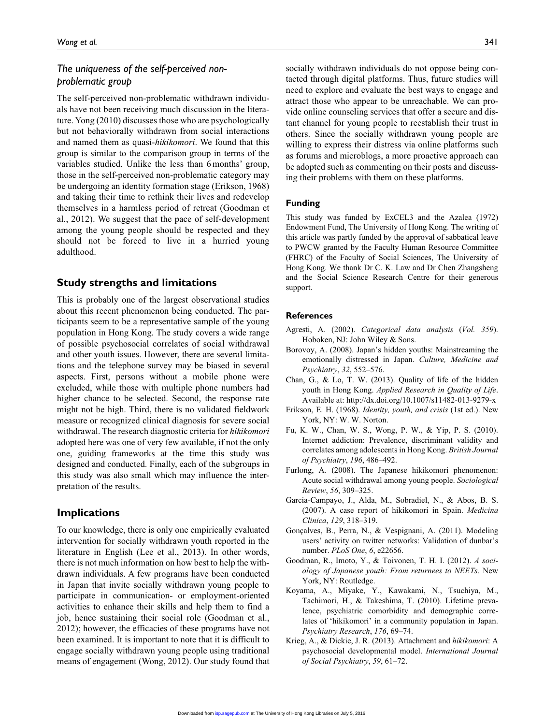# *The uniqueness of the self-perceived nonproblematic group*

The self-perceived non-problematic withdrawn individuals have not been receiving much discussion in the literature. Yong (2010) discusses those who are psychologically but not behaviorally withdrawn from social interactions and named them as quasi-*hikikomori*. We found that this group is similar to the comparison group in terms of the variables studied. Unlike the less than 6months' group, those in the self-perceived non-problematic category may be undergoing an identity formation stage (Erikson, 1968) and taking their time to rethink their lives and redevelop themselves in a harmless period of retreat (Goodman et al., 2012). We suggest that the pace of self-development among the young people should be respected and they should not be forced to live in a hurried young adulthood.

### **Study strengths and limitations**

This is probably one of the largest observational studies about this recent phenomenon being conducted. The participants seem to be a representative sample of the young population in Hong Kong. The study covers a wide range of possible psychosocial correlates of social withdrawal and other youth issues. However, there are several limitations and the telephone survey may be biased in several aspects. First, persons without a mobile phone were excluded, while those with multiple phone numbers had higher chance to be selected. Second, the response rate might not be high. Third, there is no validated fieldwork measure or recognized clinical diagnosis for severe social withdrawal. The research diagnostic criteria for *hikikomori* adopted here was one of very few available, if not the only one, guiding frameworks at the time this study was designed and conducted. Finally, each of the subgroups in this study was also small which may influence the interpretation of the results.

### **Implications**

To our knowledge, there is only one empirically evaluated intervention for socially withdrawn youth reported in the literature in English (Lee et al., 2013). In other words, there is not much information on how best to help the withdrawn individuals. A few programs have been conducted in Japan that invite socially withdrawn young people to participate in communication- or employment-oriented activities to enhance their skills and help them to find a job, hence sustaining their social role (Goodman et al., 2012); however, the efficacies of these programs have not been examined. It is important to note that it is difficult to engage socially withdrawn young people using traditional means of engagement (Wong, 2012). Our study found that vide online counseling services that offer a secure and distant channel for young people to reestablish their trust in others. Since the socially withdrawn young people are willing to express their distress via online platforms such as forums and microblogs, a more proactive approach can be adopted such as commenting on their posts and discussing their problems with them on these platforms.

#### **Funding**

This study was funded by ExCEL3 and the Azalea (1972) Endowment Fund, The University of Hong Kong. The writing of this article was partly funded by the approval of sabbatical leave to PWCW granted by the Faculty Human Resource Committee (FHRC) of the Faculty of Social Sciences, The University of Hong Kong. We thank Dr C. K. Law and Dr Chen Zhangsheng and the Social Science Research Centre for their generous support.

#### **References**

- Agresti, A. (2002). *Categorical data analysis* (*Vol. 359*). Hoboken, NJ: John Wiley & Sons.
- Borovoy, A. (2008). Japan's hidden youths: Mainstreaming the emotionally distressed in Japan. *Culture, Medicine and Psychiatry*, *32*, 552–576.
- Chan, G., & Lo, T. W. (2013). Quality of life of the hidden youth in Hong Kong. *Applied Research in Quality of Life*. Available at: http://dx.doi.org/10.1007/s11482-013-9279-x
- Erikson, E. H. (1968). *Identity, youth, and crisis* (1st ed.). New York, NY: W. W. Norton.
- Fu, K. W., Chan, W. S., Wong, P. W., & Yip, P. S. (2010). Internet addiction: Prevalence, discriminant validity and correlates among adolescents in Hong Kong. *British Journal of Psychiatry*, *196*, 486–492.
- Furlong, A. (2008). The Japanese hikikomori phenomenon: Acute social withdrawal among young people. *Sociological Review*, *56*, 309–325.
- Garcia-Campayo, J., Alda, M., Sobradiel, N., & Abos, B. S. (2007). A case report of hikikomori in Spain. *Medicina Clinica*, *129*, 318–319.
- Gonçalves, B., Perra, N., & Vespignani, A. (2011). Modeling users' activity on twitter networks: Validation of dunbar's number. *PLoS One*, *6*, e22656.
- Goodman, R., Imoto, Y., & Toivonen, T. H. I. (2012). *A sociology of Japanese youth: From returnees to NEETs*. New York, NY: Routledge.
- Koyama, A., Miyake, Y., Kawakami, N., Tsuchiya, M., Tachimori, H., & Takeshima, T. (2010). Lifetime prevalence, psychiatric comorbidity and demographic correlates of 'hikikomori' in a community population in Japan. *Psychiatry Research*, *176*, 69–74.
- Krieg, A., & Dickie, J. R. (2013). Attachment and *hikikomori*: A psychosocial developmental model. *International Journal of Social Psychiatry*, *59*, 61–72.